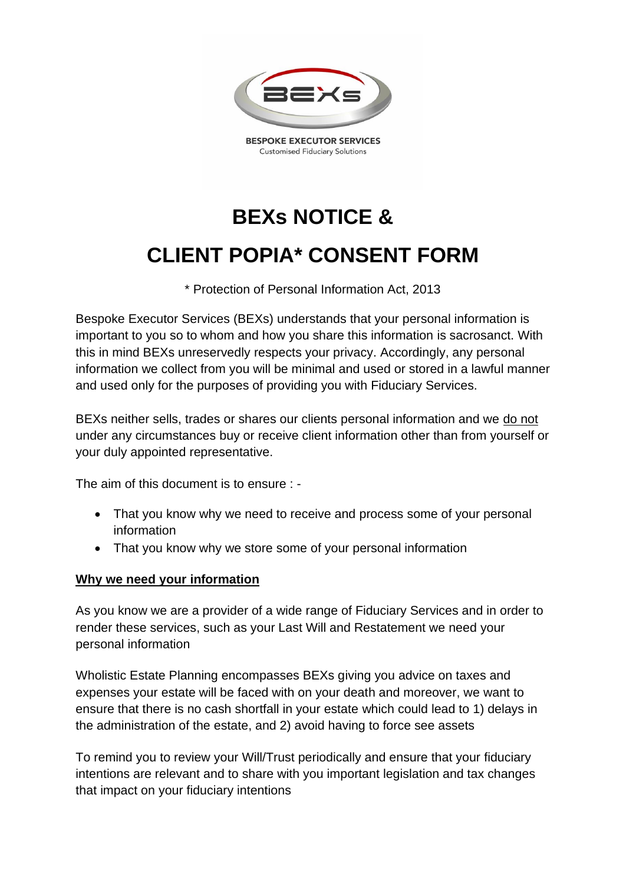

**BESPOKE EXECUTOR SERVICES Customised Fiduciary Solutions** 

# **BEXs NOTICE & CLIENT POPIA\* CONSENT FORM**

\* Protection of Personal Information Act, 2013

Bespoke Executor Services (BEXs) understands that your personal information is important to you so to whom and how you share this information is sacrosanct. With this in mind BEXs unreservedly respects your privacy. Accordingly, any personal information we collect from you will be minimal and used or stored in a lawful manner and used only for the purposes of providing you with Fiduciary Services.

BEXs neither sells, trades or shares our clients personal information and we do not under any circumstances buy or receive client information other than from yourself or your duly appointed representative.

The aim of this document is to ensure : -

- That you know why we need to receive and process some of your personal information
- That you know why we store some of your personal information

### **Why we need your information**

As you know we are a provider of a wide range of Fiduciary Services and in order to render these services, such as your Last Will and Restatement we need your personal information

Wholistic Estate Planning encompasses BEXs giving you advice on taxes and expenses your estate will be faced with on your death and moreover, we want to ensure that there is no cash shortfall in your estate which could lead to 1) delays in the administration of the estate, and 2) avoid having to force see assets

To remind you to review your Will/Trust periodically and ensure that your fiduciary intentions are relevant and to share with you important legislation and tax changes that impact on your fiduciary intentions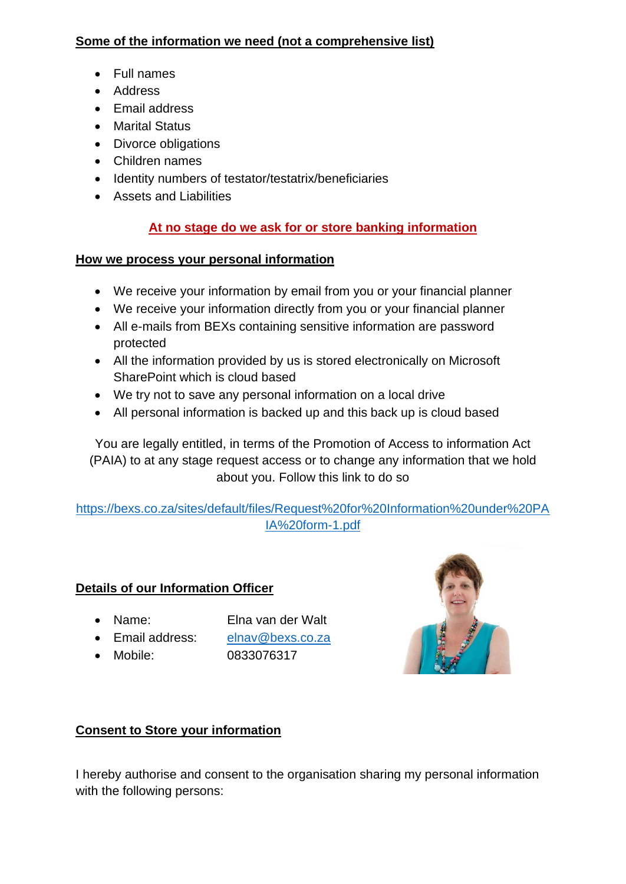# **Some of the information we need (not a comprehensive list)**

- Full names
- Address
- Email address
- Marital Status
- Divorce obligations
- Children names
- Identity numbers of testator/testatrix/beneficiaries
- Assets and Liabilities

# **At no stage do we ask for or store banking information**

### **How we process your personal information**

- We receive your information by email from you or your financial planner
- We receive your information directly from you or your financial planner
- All e-mails from BEXs containing sensitive information are password protected
- All the information provided by us is stored electronically on Microsoft SharePoint which is cloud based
- We try not to save any personal information on a local drive
- All personal information is backed up and this back up is cloud based

You are legally entitled, in terms of the Promotion of Access to information Act (PAIA) to at any stage request access or to change any information that we hold about you. Follow this link to do so

[https://bexs.co.za/sites/default/files/Request%20for%20Information%20under%20PA](https://bexs.co.za/sites/default/files/Request%20for%20Information%20under%20PAIA%20form-1.pdf) [IA%20form-1.pdf](https://bexs.co.za/sites/default/files/Request%20for%20Information%20under%20PAIA%20form-1.pdf)

# **Details of our Information Officer**

- Name: Elna van der Walt
- Email address: [elnav@bexs.co.za](mailto:elnav@bexs.co.za)
- 

• Mobile: 0833076317



# **Consent to Store your information**

I hereby authorise and consent to the organisation sharing my personal information with the following persons: